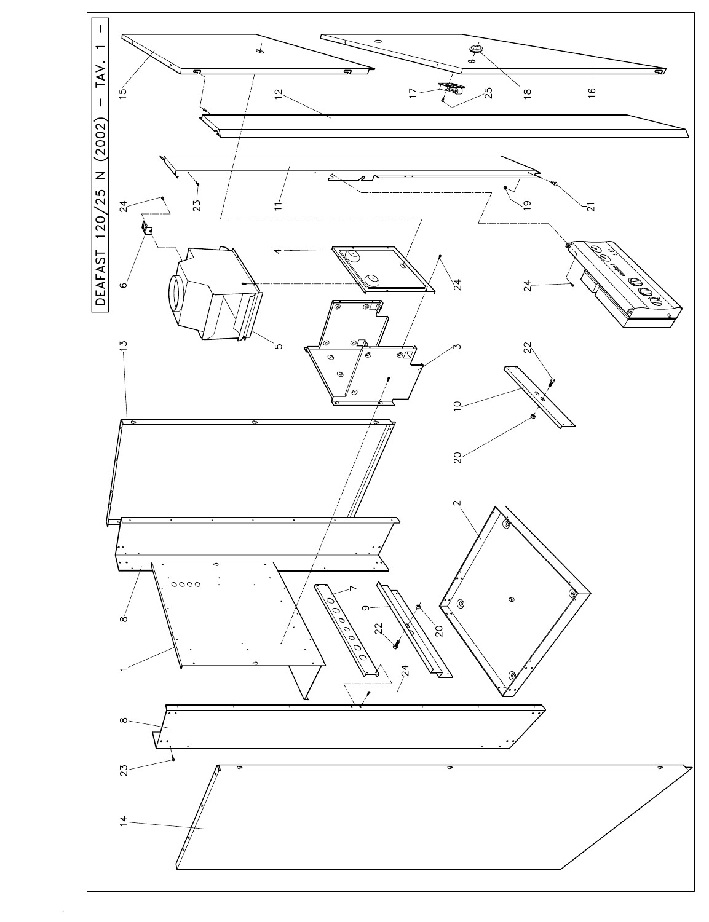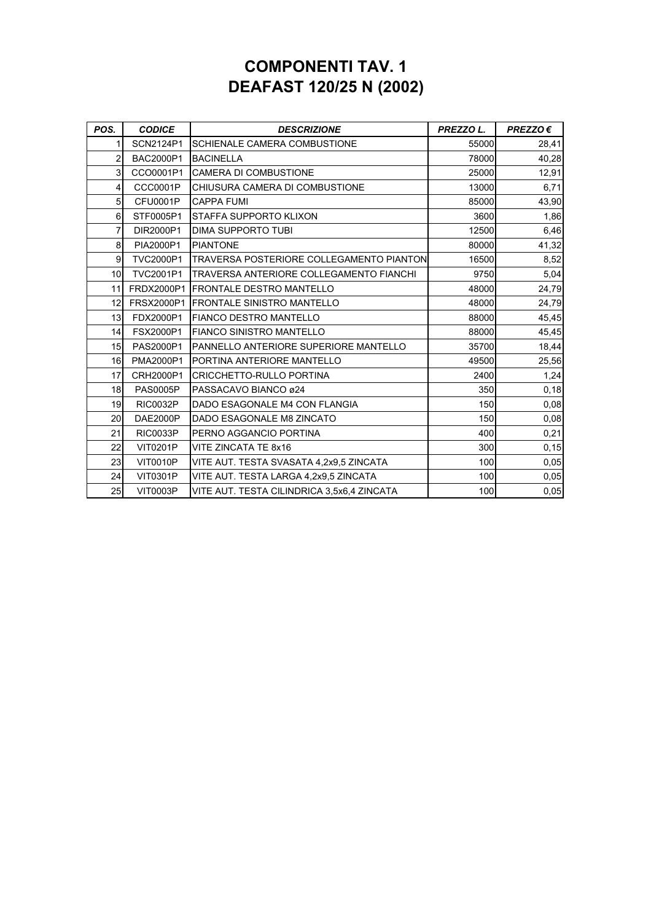## **COMPONENTI TAV. 1 DEAFAST 120/25 N (2002)**

| POS.           | <b>CODICE</b>    | <b>DESCRIZIONE</b>                              | PREZZO L. | $PREZZO \in$ |
|----------------|------------------|-------------------------------------------------|-----------|--------------|
| 1              | SCN2124P1        | SCHIENALE CAMERA COMBUSTIONE                    | 55000     | 28,41        |
| $\overline{2}$ | <b>BAC2000P1</b> | <b>BACINELLA</b>                                | 78000     | 40,28        |
| 3              | CCO0001P1        | <b>CAMERA DI COMBUSTIONE</b>                    | 25000     | 12,91        |
| 4              | <b>CCC0001P</b>  | CHIUSURA CAMERA DI COMBUSTIONE                  | 13000     | 6,71         |
| 5              | <b>CFU0001P</b>  | <b>CAPPA FUMI</b>                               | 85000     | 43,90        |
| 6              | STF0005P1        | STAFFA SUPPORTO KLIXON                          | 3600      | 1,86         |
| $\overline{7}$ | DIR2000P1        | DIMA SUPPORTO TUBI                              | 12500     | 6,46         |
| 8              | PIA2000P1        | <b>PIANTONE</b>                                 | 80000     | 41,32        |
| 9              | TVC2000P1        | <b>TRAVERSA POSTERIORE COLLEGAMENTO PIANTON</b> | 16500     | 8,52         |
| 10             | <b>TVC2001P1</b> | TRAVERSA ANTERIORE COLLEGAMENTO FIANCHI         | 9750      | 5,04         |
| 11             | FRDX2000P1       | <b>IFRONTALE DESTRO MANTELLO</b>                | 48000     | 24,79        |
| 12             | FRSX2000P1       | <b>FRONTALE SINISTRO MANTELLO</b>               | 48000     | 24,79        |
| 13             | FDX2000P1        | <b>FIANCO DESTRO MANTELLO</b>                   | 88000     | 45,45        |
| 14             | FSX2000P1        | <b>FIANCO SINISTRO MANTELLO</b>                 | 88000     | 45,45        |
| 15             | PAS2000P1        | PANNELLO ANTERIORE SUPERIORE MANTELLO           | 35700     | 18,44        |
| 16             | PMA2000P1        | PORTINA ANTERIORE MANTELLO                      | 49500     | 25,56        |
| 17             | CRH2000P1        | CRICCHETTO-RULLO PORTINA                        | 2400      | 1,24         |
| 18             | <b>PAS0005P</b>  | PASSACAVO BIANCO ø24                            | 350       | 0,18         |
| 19             | <b>RIC0032P</b>  | DADO ESAGONALE M4 CON FLANGIA                   | 150       | 0,08         |
| 20             | DAE2000P         | DADO ESAGONALE M8 ZINCATO                       | 150       | 0,08         |
| 21             | <b>RIC0033P</b>  | PERNO AGGANCIO PORTINA                          | 400       | 0,21         |
| 22             | <b>VIT0201P</b>  | VITE ZINCATA TE 8x16                            | 300       | 0, 15        |
| 23             | <b>VIT0010P</b>  | VITE AUT. TESTA SVASATA 4,2x9,5 ZINCATA         | 100       | 0,05         |
| 24             | <b>VIT0301P</b>  | VITE AUT. TESTA LARGA 4,2x9,5 ZINCATA           | 100       | 0,05         |
| 25             | <b>VIT0003P</b>  | VITE AUT. TESTA CILINDRICA 3,5x6,4 ZINCATA      | 100       | 0,05         |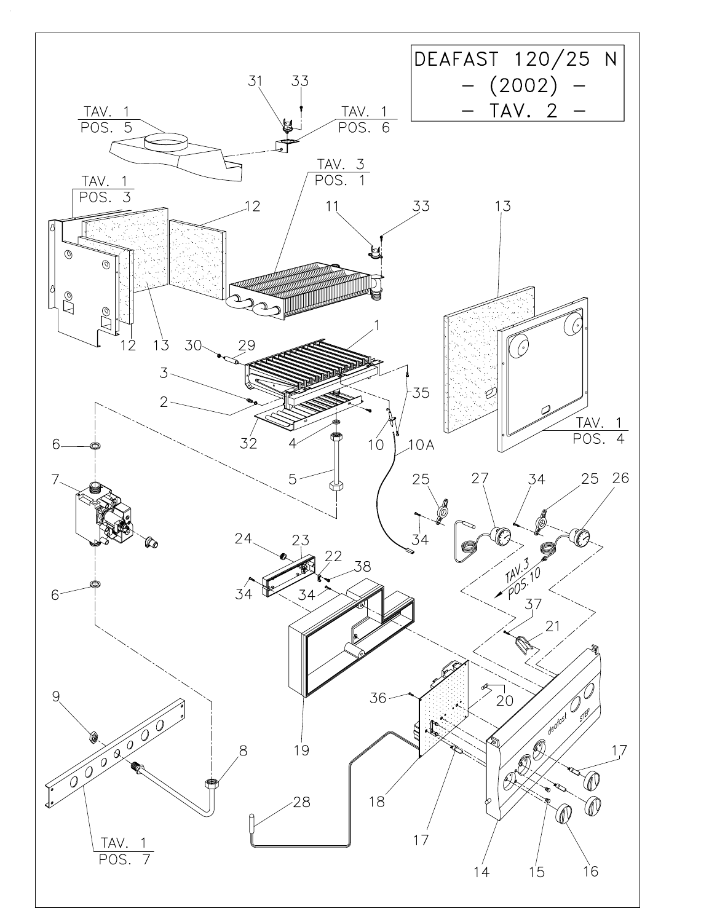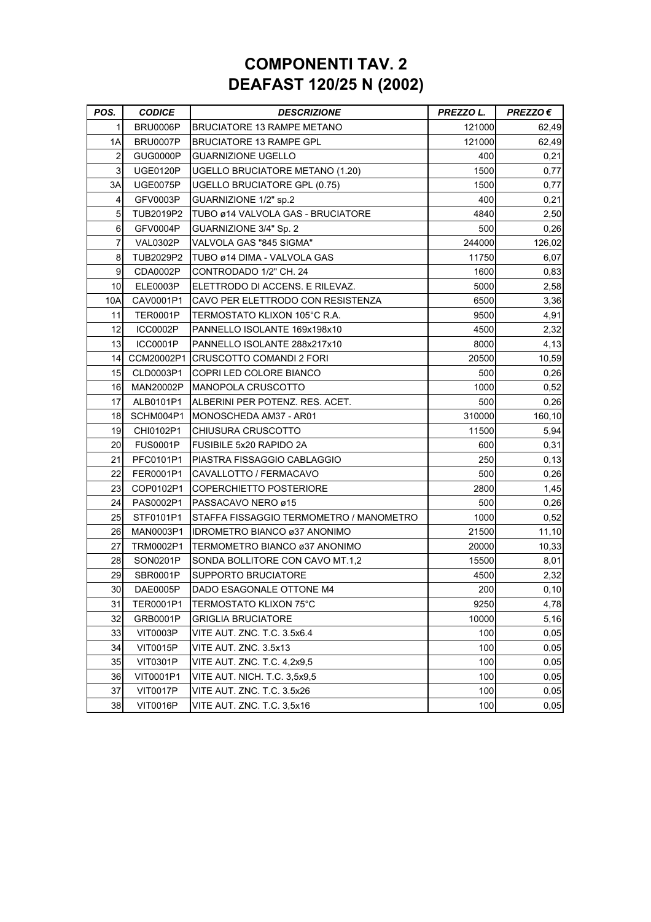## **COMPONENTI TAV. 2 DEAFAST 120/25 N (2002)**

| POS.           | <b>CODICE</b>   | <b>DESCRIZIONE</b>                      | PREZZO L. | $PREZZO \in$ |
|----------------|-----------------|-----------------------------------------|-----------|--------------|
| 1              | BRU0006P        | <b>BRUCIATORE 13 RAMPE METANO</b>       | 121000    | 62,49        |
| 1A             | BRU0007P        | <b>BRUCIATORE 13 RAMPE GPL</b>          | 121000    | 62,49        |
| $\overline{c}$ | GUG0000P        | <b>GUARNIZIONE UGELLO</b>               | 400       | 0,21         |
| 3              | UGE0120P        | UGELLO BRUCIATORE METANO (1.20)         | 1500      | 0,77         |
| 3A             | <b>UGE0075P</b> | <b>UGELLO BRUCIATORE GPL (0.75)</b>     | 1500      | 0,77         |
| 4              | GFV0003P        | GUARNIZIONE 1/2" sp.2                   | 400       | 0,21         |
| 5              | TUB2019P2       | TUBO ø14 VALVOLA GAS - BRUCIATORE       | 4840      | 2,50         |
| 6              | GFV0004P        | GUARNIZIONE 3/4" Sp. 2                  | 500       | 0,26         |
| 7              | VAL0302P        | VALVOLA GAS "845 SIGMA"                 | 244000    | 126,02       |
| 8              | TUB2029P2       | TUBO ø14 DIMA - VALVOLA GAS             | 11750     | 6,07         |
| 9              | CDA0002P        | CONTRODADO 1/2" CH. 24                  | 1600      | 0,83         |
| 10             | <b>ELE0003P</b> | ELETTRODO DI ACCENS. E RILEVAZ.         | 5000      | 2,58         |
| 10A            | CAV0001P1       | CAVO PER ELETTRODO CON RESISTENZA       | 6500      | 3,36         |
| 11             | <b>TER0001P</b> | TERMOSTATO KLIXON 105°C R.A.            | 9500      | 4,91         |
| 12             | <b>ICC0002P</b> | PANNELLO ISOLANTE 169x198x10            | 4500      | 2,32         |
| 13             | ICC0001P        | PANNELLO ISOLANTE 288x217x10            | 8000      | 4,13         |
| 14             |                 | CCM20002P1 CRUSCOTTO COMANDI 2 FORI     | 20500     | 10,59        |
| 15             | CLD0003P1       | COPRI LED COLORE BIANCO                 | 500       | 0,26         |
| 16             | MAN20002P       | <b>IMANOPOLA CRUSCOTTO</b>              | 1000      | 0,52         |
| 17             | ALB0101P1       | IALBERINI PER POTENZ. RES. ACET.        | 500       | 0,26         |
| 18             | SCHM004P1       | <b>MONOSCHEDA AM37 - AR01</b>           | 310000    | 160,10       |
| 19             | CHI0102P1       | CHIUSURA CRUSCOTTO                      | 11500     | 5,94         |
| 20             | <b>FUS0001P</b> | <b>FUSIBILE 5x20 RAPIDO 2A</b>          | 600       | 0,31         |
| 21             | PFC0101P1       | PIASTRA FISSAGGIO CABLAGGIO             | 250       | 0, 13        |
| 22             | FER0001P1       | CAVALLOTTO / FERMACAVO                  | 500       | 0,26         |
| 23             | COP0102P1       | COPERCHIETTO POSTERIORE                 | 2800      | 1,45         |
| 24             | PAS0002P1       | PASSACAVO NERO ø15                      | 500       | 0,26         |
| 25             | STF0101P1       | STAFFA FISSAGGIO TERMOMETRO / MANOMETRO | 1000      | 0,52         |
| 26             | MAN0003P1       | <b>IDROMETRO BIANCO ø37 ANONIMO</b>     | 21500     | 11,10        |
| 27             | TRM0002P1       | TERMOMETRO BIANCO ø37 ANONIMO           | 20000     | 10,33        |
| 28             | SON0201P        | SONDA BOLLITORE CON CAVO MT.1,2         | 15500     | 8,01         |
| 29             | SBR0001P        | <b>SUPPORTO BRUCIATORE</b>              | 4500      | 2,32         |
| 30             | DAE0005P        | DADO ESAGONALE OTTONE M4                | 200       | 0, 10        |
| 31             | TER0001P1       | TERMOSTATO KLIXON 75°C                  | 9250      | 4,78         |
| 32             | GRB0001P        | GRIGLIA BRUCIATORE                      | 10000     | 5,16         |
| 33             | VIT0003P        | VITE AUT. ZNC. T.C. 3.5x6.4             | 100       | 0,05         |
| 34             | <b>VIT0015P</b> | VITE AUT. ZNC. 3.5x13                   | 100       | 0,05         |
| 35             | <b>VIT0301P</b> | VITE AUT. ZNC. T.C. 4,2x9.5             | 100       | 0,05         |
| 36             | VIT0001P1       | VITE AUT. NICH. T.C. 3,5x9,5            | 100       | 0,05         |
| 37             | <b>VIT0017P</b> | VITE AUT. ZNC. T.C. 3.5x26              | 100       | 0,05         |
| 38             | <b>VIT0016P</b> | VITE AUT. ZNC. T.C. 3,5x16              | 100       | 0,05         |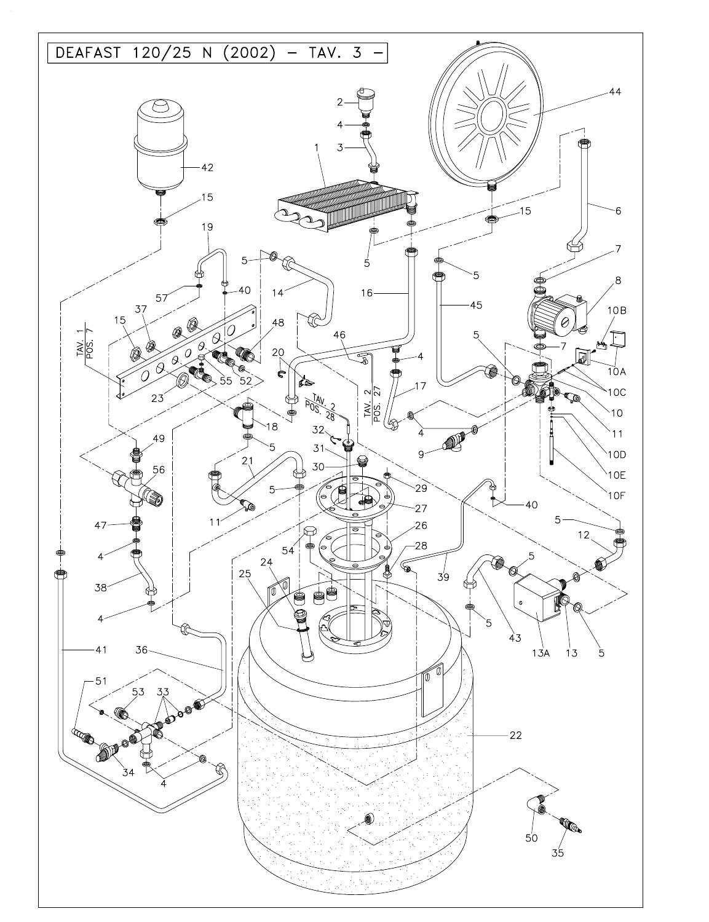